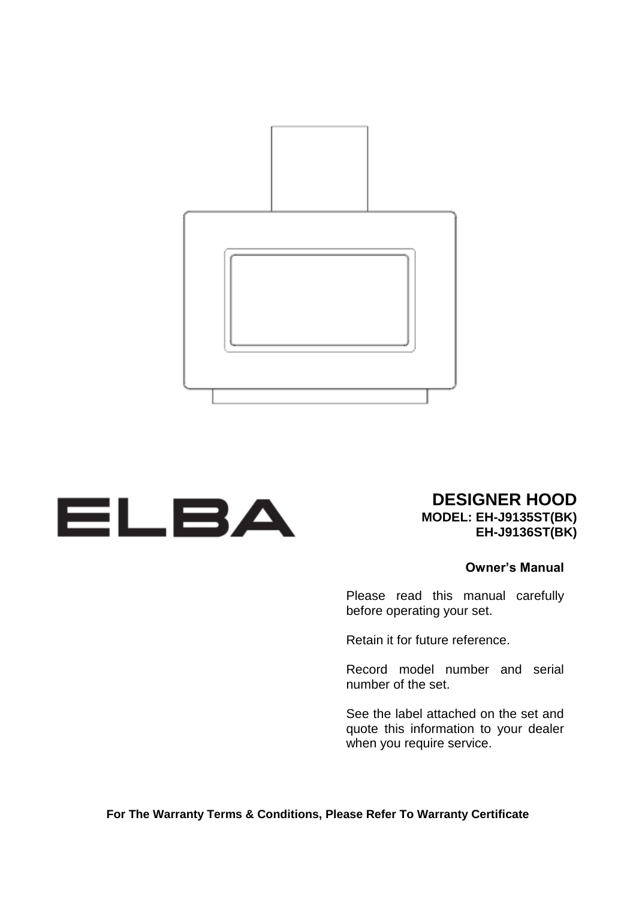



**DESIGNER HOOD MODEL: EH-J9135ST(BK)**

**EH-J9136ST(BK)**

#### **Owner's Manual**

Please read this manual carefully before operating your set.

Retain it for future reference.

Record model number and serial number of the set.

See the label attached on the set and quote this information to your dealer when you require service.

**For The Warranty Terms & Conditions, Please Refer To Warranty Certificate**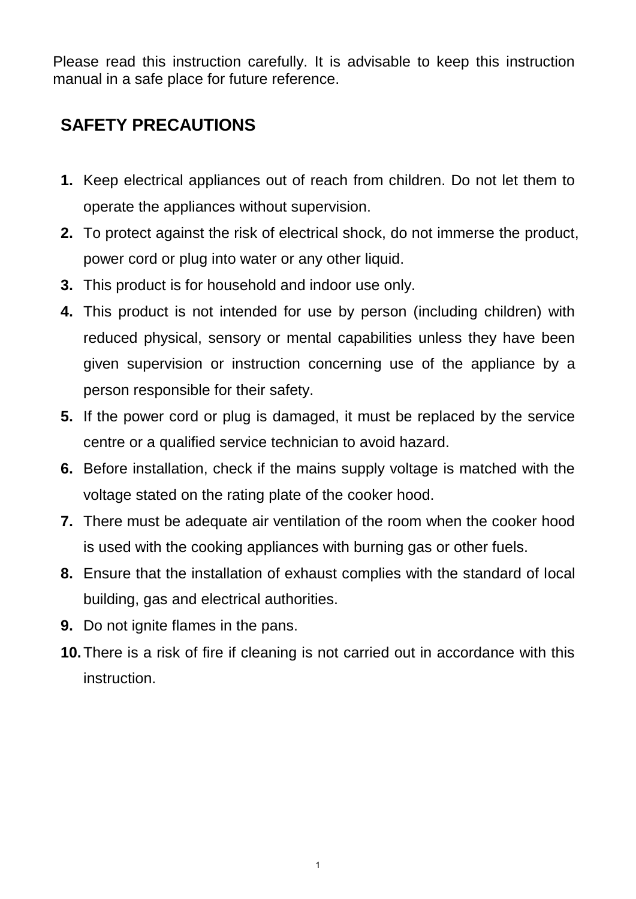Please read this instruction carefully. It is advisable to keep this instruction manual in a safe place for future reference.

## **SAFETY PRECAUTIONS**

- **1.** Keep electrical appliances out of reach from children. Do not let them to operate the appliances without supervision.
- **2.** To protect against the risk of electrical shock, do not immerse the product, power cord or plug into water or any other liquid.
- **3.** This product is for household and indoor use only.
- **4.** This product is not intended for use by person (including children) with reduced physical, sensory or mental capabilities unless they have been given supervision or instruction concerning use of the appliance by a person responsible for their safety.
- **5.** If the power cord or plug is damaged, it must be replaced by the service centre or a qualified service technician to avoid hazard.
- **6.** Before installation, check if the mains supply voltage is matched with the voltage stated on the rating plate of the cooker hood.
- **7.** There must be adequate air ventilation of the room when the cooker hood is used with the cooking appliances with burning gas or other fuels.
- **8.** Ensure that the installation of exhaust complies with the standard of local building, gas and electrical authorities.
- **9.** Do not ignite flames in the pans.
- **10.**There is a risk of fire if cleaning is not carried out in accordance with this instruction.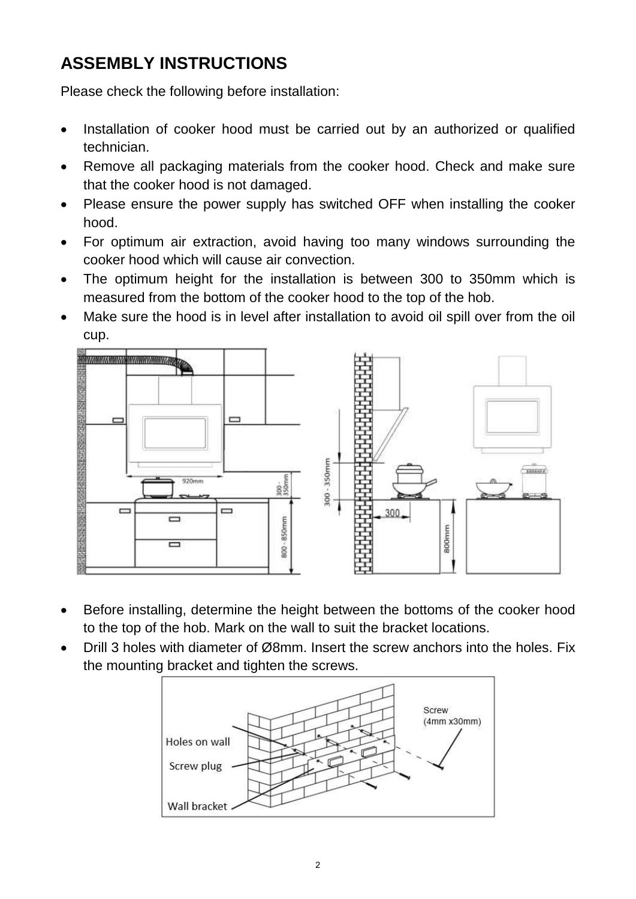# **ASSEMBLY INSTRUCTIONS**

Please check the following before installation:

- Installation of cooker hood must be carried out by an authorized or qualified technician.
- Remove all packaging materials from the cooker hood. Check and make sure that the cooker hood is not damaged.
- Please ensure the power supply has switched OFF when installing the cooker hood.
- For optimum air extraction, avoid having too many windows surrounding the cooker hood which will cause air convection.
- The optimum height for the installation is between 300 to 350mm which is measured from the bottom of the cooker hood to the top of the hob.
- Make sure the hood is in level after installation to avoid oil spill over from the oil cup.



- Before installing, determine the height between the bottoms of the cooker hood to the top of the hob. Mark on the wall to suit the bracket locations.
- Drill 3 holes with diameter of Ø8mm. Insert the screw anchors into the holes. Fix the mounting bracket and tighten the screws.

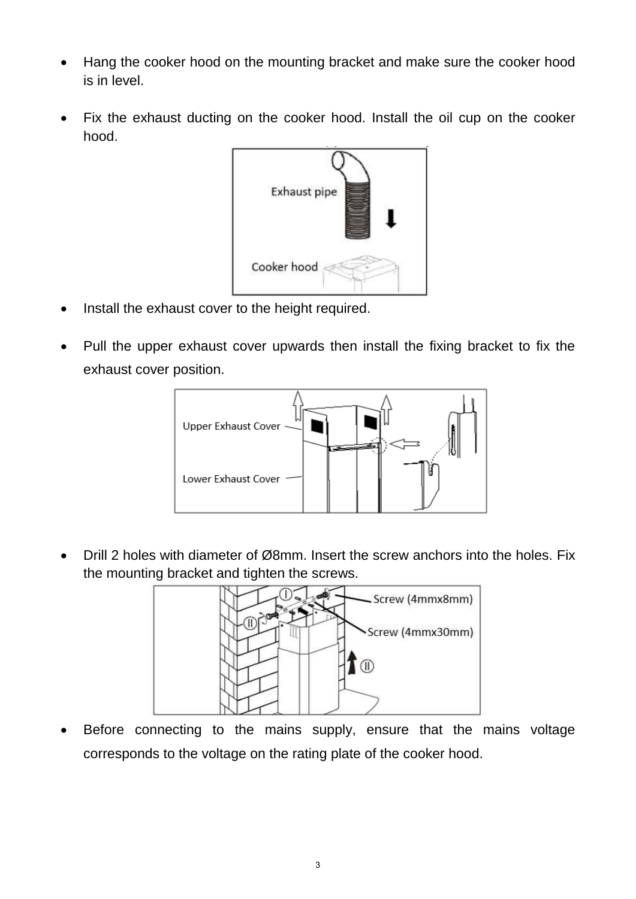- Hang the cooker hood on the mounting bracket and make sure the cooker hood is in level.
- Fix the exhaust ducting on the cooker hood. Install the oil cup on the cooker hood.



- Install the exhaust cover to the height required.
- Pull the upper exhaust cover upwards then install the fixing bracket to fix the exhaust cover position.



 Drill 2 holes with diameter of Ø8mm. Insert the screw anchors into the holes. Fix the mounting bracket and tighten the screws.



 Before connecting to the mains supply, ensure that the mains voltage corresponds to the voltage on the rating plate of the cooker hood.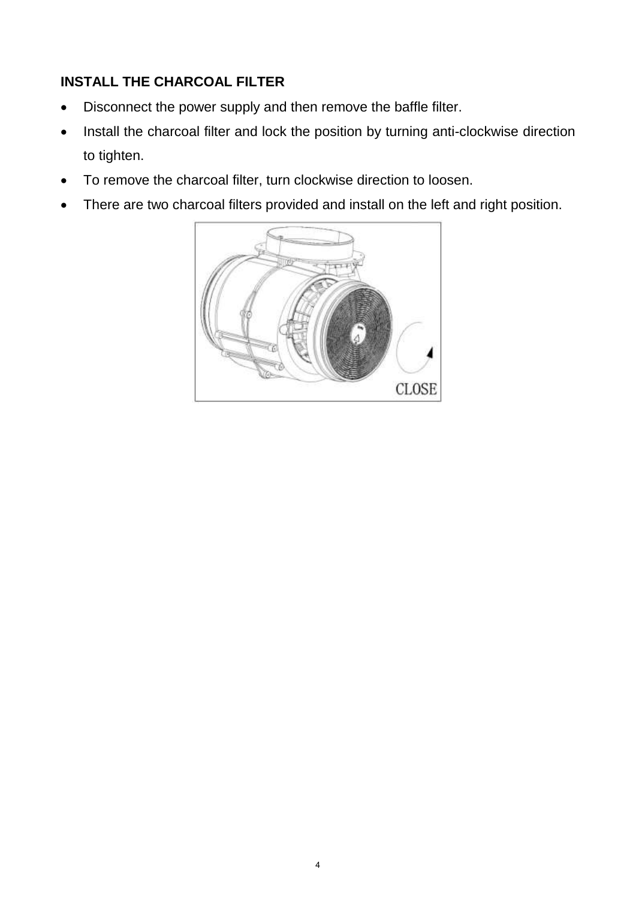#### **INSTALL THE CHARCOAL FILTER**

- Disconnect the power supply and then remove the baffle filter.
- Install the charcoal filter and lock the position by turning anti-clockwise direction to tighten.
- To remove the charcoal filter, turn clockwise direction to loosen.
- There are two charcoal filters provided and install on the left and right position.

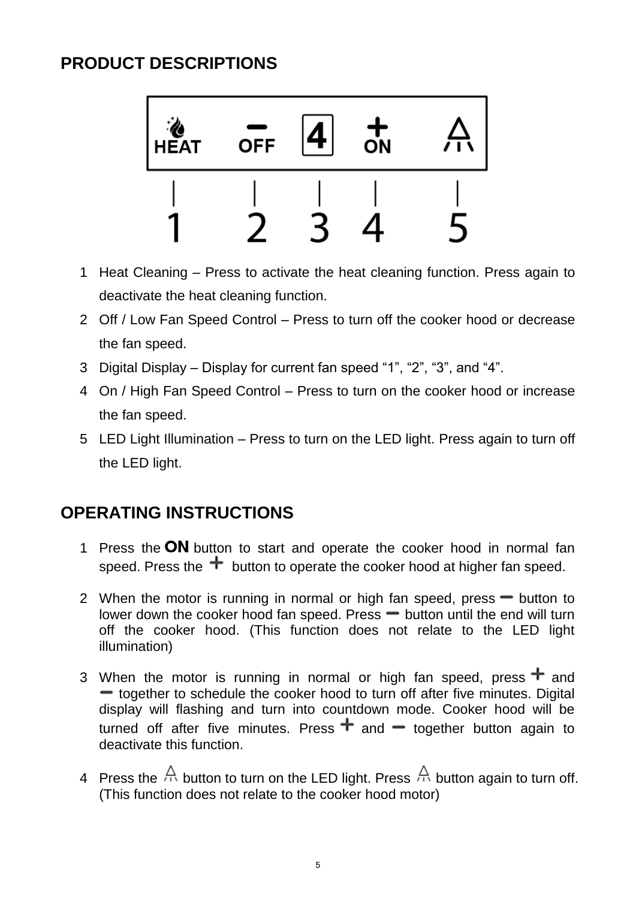## **PRODUCT DESCRIPTIONS**



- 1 Heat Cleaning Press to activate the heat cleaning function. Press again to deactivate the heat cleaning function.
- 2 Off / Low Fan Speed Control Press to turn off the cooker hood or decrease the fan speed.
- 3 Digital Display Display for current fan speed "1", "2", "3", and "4".
- 4 On / High Fan Speed Control Press to turn on the cooker hood or increase the fan speed.
- 5 LED Light Illumination Press to turn on the LED light. Press again to turn off the LED light.

### **OPERATING INSTRUCTIONS**

- 1 Press the ON button to start and operate the cooker hood in normal fan speed. Press the  $\pm$  button to operate the cooker hood at higher fan speed.
- 2 When the motor is running in normal or high fan speed, press  $-$  button to lower down the cooker hood fan speed. Press  $\equiv$  button until the end will turn off the cooker hood. (This function does not relate to the LED light illumination)
- 3 When the motor is running in normal or high fan speed, press  $\pm$  and • together to schedule the cooker hood to turn off after five minutes. Digital display will flashing and turn into countdown mode. Cooker hood will be turned off after five minutes. Press  $\pm$  and  $\pm$  together button again to deactivate this function.
- 4 Press the  $\bigoplus$  button to turn on the LED light. Press  $\bigoplus$  button again to turn off. (This function does not relate to the cooker hood motor)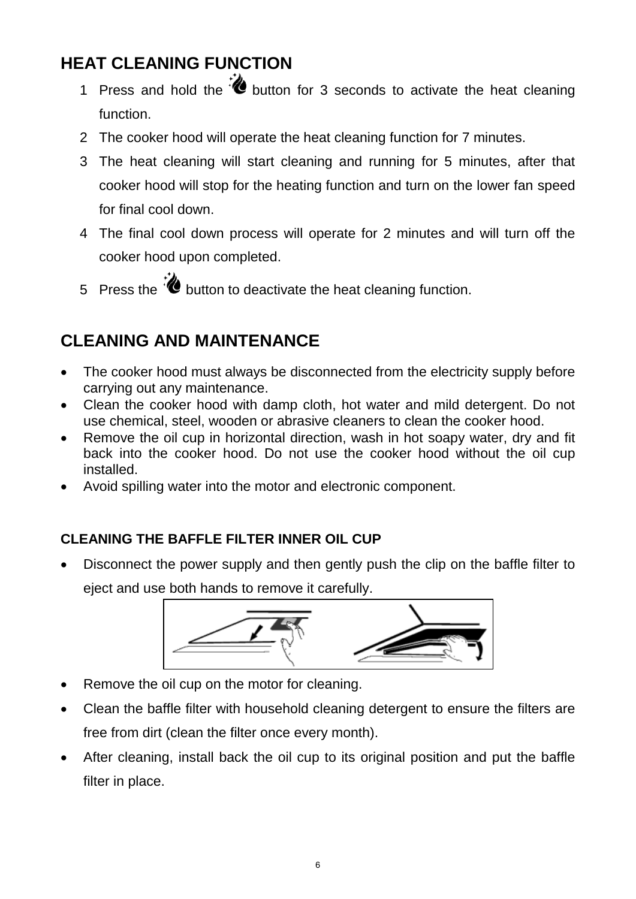# **HEAT CLEANING FUNCTION**

- 1 Press and hold the **button** for 3 seconds to activate the heat cleaning function.
- 2 The cooker hood will operate the heat cleaning function for 7 minutes.
- 3 The heat cleaning will start cleaning and running for 5 minutes, after that cooker hood will stop for the heating function and turn on the lower fan speed for final cool down.
- 4 The final cool down process will operate for 2 minutes and will turn off the cooker hood upon completed.
- 5 Press the  $\ddot{\bullet}$  button to deactivate the heat cleaning function.

## **CLEANING AND MAINTENANCE**

- The cooker hood must always be disconnected from the electricity supply before carrying out any maintenance.
- Clean the cooker hood with damp cloth, hot water and mild detergent. Do not use chemical, steel, wooden or abrasive cleaners to clean the cooker hood.
- Remove the oil cup in horizontal direction, wash in hot soapy water, dry and fit back into the cooker hood. Do not use the cooker hood without the oil cup installed.
- Avoid spilling water into the motor and electronic component.

#### **CLEANING THE BAFFLE FILTER INNER OIL CUP**

 Disconnect the power supply and then gently push the clip on the baffle filter to eject and use both hands to remove it carefully.



- Remove the oil cup on the motor for cleaning.
- Clean the baffle filter with household cleaning detergent to ensure the filters are free from dirt (clean the filter once every month).
- After cleaning, install back the oil cup to its original position and put the baffle filter in place.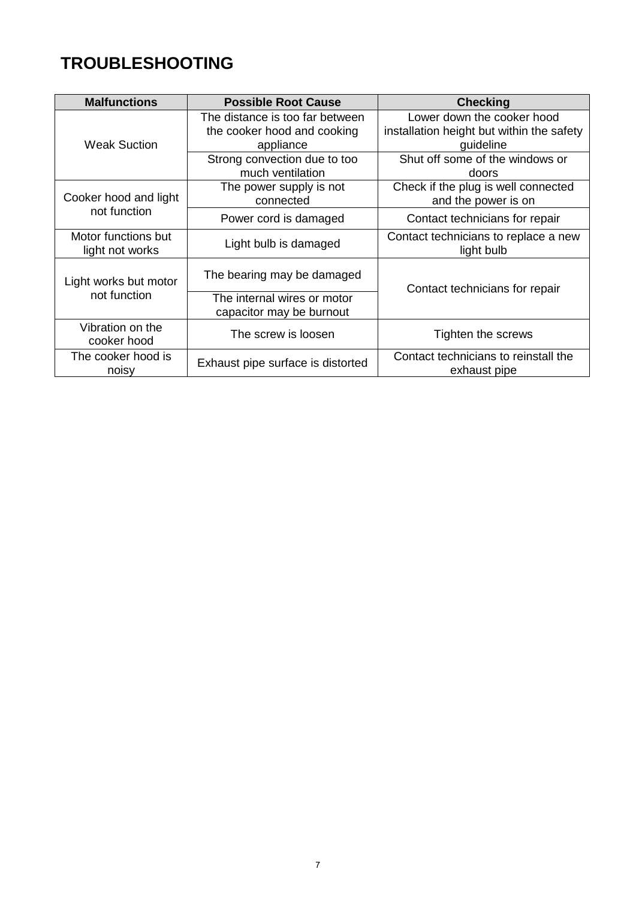# **TROUBLESHOOTING**

| <b>Malfunctions</b>                    | <b>Possible Root Cause</b>                                                  | <b>Checking</b>                                                                      |
|----------------------------------------|-----------------------------------------------------------------------------|--------------------------------------------------------------------------------------|
| <b>Weak Suction</b>                    | The distance is too far between<br>the cooker hood and cooking<br>appliance | Lower down the cooker hood<br>installation height but within the safety<br>guideline |
|                                        | Strong convection due to too<br>much ventilation                            | Shut off some of the windows or<br>doors                                             |
| Cooker hood and light<br>not function  | The power supply is not<br>connected                                        | Check if the plug is well connected<br>and the power is on                           |
|                                        | Power cord is damaged                                                       | Contact technicians for repair                                                       |
| Motor functions but<br>light not works | Light bulb is damaged                                                       | Contact technicians to replace a new<br>light bulb                                   |
| Light works but motor<br>not function  | The bearing may be damaged                                                  | Contact technicians for repair                                                       |
|                                        | The internal wires or motor<br>capacitor may be burnout                     |                                                                                      |
| Vibration on the<br>cooker hood        | The screw is loosen                                                         | Tighten the screws                                                                   |
| The cooker hood is<br>noisy            | Exhaust pipe surface is distorted                                           | Contact technicians to reinstall the<br>exhaust pipe                                 |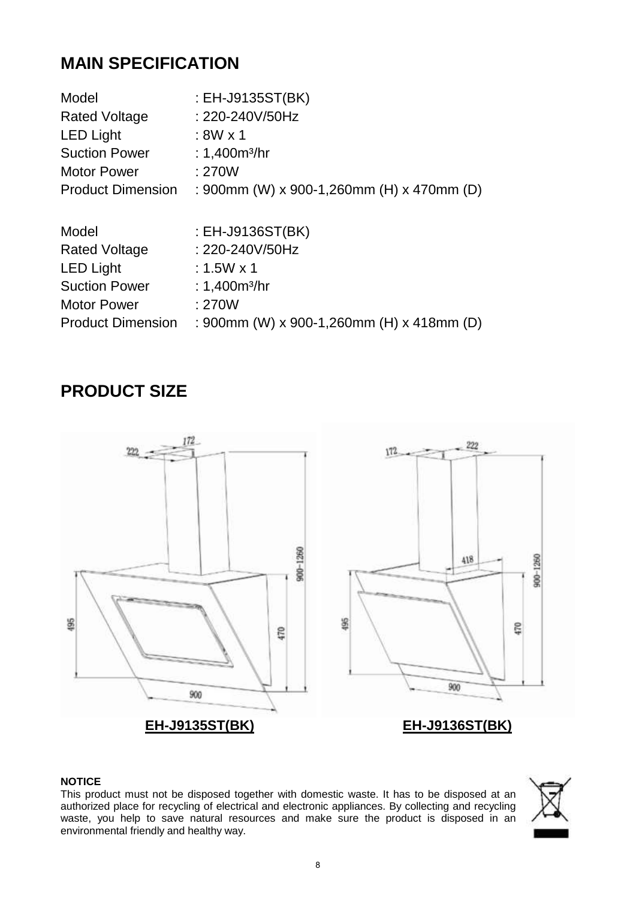### **MAIN SPECIFICATION**

| : EH-J9135ST(BK)                          |
|-------------------------------------------|
| : 220-240V/50Hz                           |
| $:8W \times 1$                            |
| : 1,400 $m^3$ /hr                         |
| :270W                                     |
| : 900mm (W) x 900-1,260mm (H) x 470mm (D) |
|                                           |
| : $EH$ -J9136ST(BK)                       |
| : 220-240V/50Hz                           |
| $: 1.5W \times 1$                         |
| : $1,400m^{3}/hr$                         |
| :270W                                     |
| : 900mm (W) x 900-1,260mm (H) x 418mm (D) |
|                                           |

#### **PRODUCT SIZE**



#### **NOTICE**

This product must not be disposed together with domestic waste. It has to be disposed at an authorized place for recycling of electrical and electronic appliances. By collecting and recycling waste, you help to save natural resources and make sure the product is disposed in an environmental friendly and healthy way.